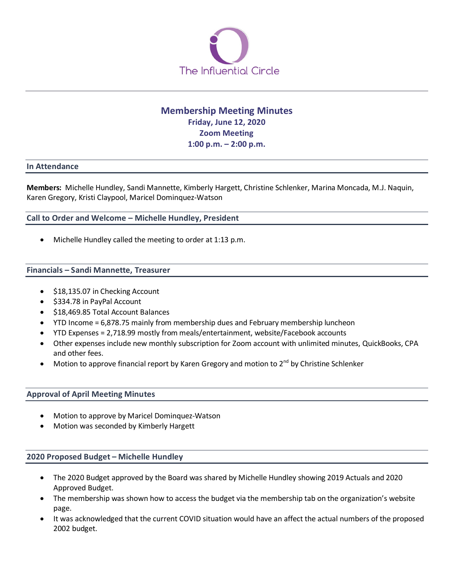

# **Membership Meeting Minutes Friday, June 12, 2020 Zoom Meeting 1:00 p.m. – 2:00 p.m.**

### **In Attendance**

**Members:** Michelle Hundley, Sandi Mannette, Kimberly Hargett, Christine Schlenker, Marina Moncada, M.J. Naquin, Karen Gregory, Kristi Claypool, Maricel Dominquez-Watson

## **Call to Order and Welcome – Michelle Hundley, President**

• Michelle Hundley called the meeting to order at 1:13 p.m.

#### **Financials – Sandi Mannette, Treasurer**

- \$18,135.07 in Checking Account
- \$334.78 in PayPal Account
- \$18,469.85 Total Account Balances
- YTD Income = 6,878.75 mainly from membership dues and February membership luncheon
- YTD Expenses = 2,718.99 mostly from meals/entertainment, website/Facebook accounts
- Other expenses include new monthly subscription for Zoom account with unlimited minutes, QuickBooks, CPA and other fees.
- Motion to approve financial report by Karen Gregory and motion to  $2^{nd}$  by Christine Schlenker

## **Approval of April Meeting Minutes**

- Motion to approve by Maricel Dominquez-Watson
- Motion was seconded by Kimberly Hargett

## **2020 Proposed Budget – Michelle Hundley**

- The 2020 Budget approved by the Board was shared by Michelle Hundley showing 2019 Actuals and 2020 Approved Budget.
- The membership was shown how to access the budget via the membership tab on the organization's website page.
- It was acknowledged that the current COVID situation would have an affect the actual numbers of the proposed 2002 budget.